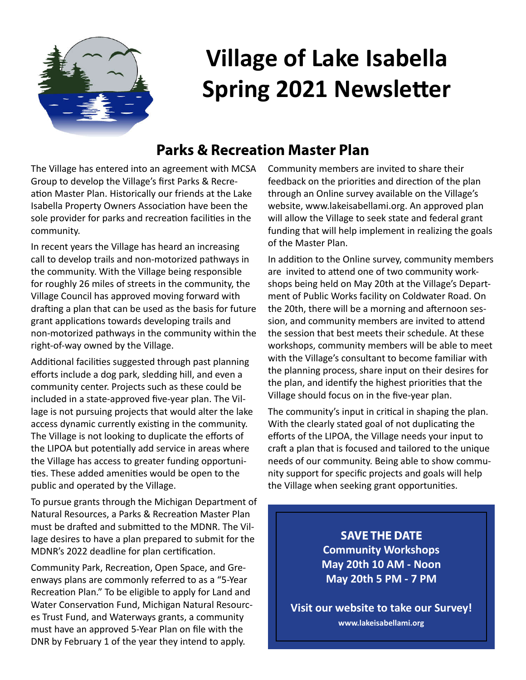

# **Village of Lake Isabella Spring 2021 Newsletter**

#### **Parks & Recreation Master Plan**

The Village has entered into an agreement with MCSA Group to develop the Village's first Parks & Recreation Master Plan. Historically our friends at the Lake Isabella Property Owners Association have been the sole provider for parks and recreation facilities in the community.

In recent years the Village has heard an increasing call to develop trails and non-motorized pathways in the community. With the Village being responsible for roughly 26 miles of streets in the community, the Village Council has approved moving forward with drafting a plan that can be used as the basis for future grant applications towards developing trails and non-motorized pathways in the community within the right-of-way owned by the Village.

Additional facilities suggested through past planning efforts include a dog park, sledding hill, and even a community center. Projects such as these could be included in a state-approved five-year plan. The Village is not pursuing projects that would alter the lake access dynamic currently existing in the community. The Village is not looking to duplicate the efforts of the LIPOA but potentially add service in areas where the Village has access to greater funding opportuni ties. These added amenities would be open to the public and operated by the Village.

To pursue grants through the Michigan Department of Natural Resources, a Parks & Recreation Master Plan must be drafted and submitted to the MDNR. The Village desires to have a plan prepared to submit for the MDNR's 2022 deadline for plan certification.

Community Park, Recreation, Open Space, and Greenways plans are commonly referred to as a "5-Year Recreation Plan." To be eligible to apply for Land and Water Conservation Fund, Michigan Natural Resources Trust Fund, and Waterways grants, a community must have an approved 5-Year Plan on file with the DNR by February 1 of the year they intend to apply.

Community members are invited to share their feedback on the priorities and direction of the plan through an Online survey available on the Village's website, www.lakeisabellami.org. An approved plan will allow the Village to seek state and federal grant funding that will help implement in realizing the goals of the Master Plan.

In addition to the Online survey, community members are invited to attend one of two community workshops being held on May 20th at the Village's Department of Public Works facility on Coldwater Road. On the 20th, there will be a morning and afternoon session, and community members are invited to attend the session that best meets their schedule. At these workshops, community members will be able to meet with the Village's consultant to become familiar with the planning process, share input on their desires for the plan, and identify the highest priorities that the Village should focus on in the five-year plan.

The community's input in critical in shaping the plan. With the clearly stated goal of not duplicating the efforts of the LIPOA, the Village needs your input to craft a plan that is focused and tailored to the unique needs of our community. Being able to show community support for specific projects and goals will help the Village when seeking grant opportunities.

> **SAVE THE DATE Community Workshops May 20th 10 AM - Noon May 20th 5 PM - 7 PM**

**Visit our website to take our Survey! www.lakeisabellami.org**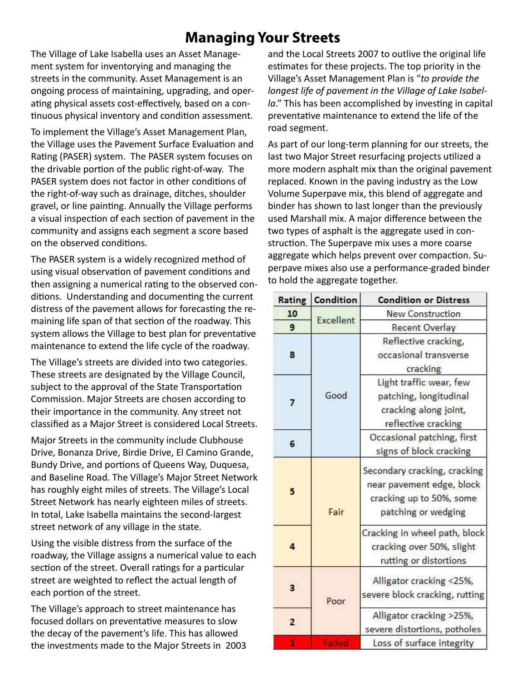### **Managing Your Streets**

The Village of Lake Isabella uses an Asset Management system for inventorying and managing the streets in the community. Asset Management is an ongoing process of maintaining, upgrading, and operating physical assets cost-effectively, based on a continuous physical inventory and condition assessment.

To implement the Village's Asset Management Plan, the Village uses the Pavement Surface Evaluation and Rating (PASER) system. The PASER system focuses on the drivable portion of the public right-of-way. The PASER system does not factor in other conditions of the right-of-way such as drainage, ditches, shoulder gravel, or line painting. Annually the Village performs a visual inspection of each section of pavement in the community and assigns each segment a score based on the observed conditions.

The PASER system is a widely recognized method of using visual observation of pavement conditions and then assigning a numerical rating to the observed conditions. Understanding and documenting the current distress of the pavement allows for forecasting the remaining life span of that section of the roadway. This system allows the Village to best plan for preventative maintenance to extend the life cycle of the roadway.

The Village's streets are divided into two categories. These streets are designated by the Village Council, subject to the approval of the State Transportation Commission. Major Streets are chosen according to their importance in the community. Any street not classified as a Major Street is considered Local Streets.

Major Streets in the community include Clubhouse Drive, Bonanza Drive, Birdie Drive, El Camino Grande, Bundy Drive, and portions of Queens Way, Duquesa, and Baseline Road. The Village's Major Street Network has roughly eight miles of streets. The Village's Local Street Network has nearly eighteen miles of streets. In total, Lake Isabella maintains the second-largest street network of any village in the state.

Using the visible distress from the surface of the roadway, the Village assigns a numerical value to each section of the street. Overall ratings for a particular street are weighted to reflect the actual length of each portion of the street.

The Village's approach to street maintenance has focused dollars on preventative measures to slow the decay of the pavement's life. This has allowed the investments made to the Major Streets in 2003 and the Local Streets 2007 to outlive the original life estimates for these projects. The top priority in the Village's Asset Management Plan is "*to provide the longest life of pavement in the Village of Lake Isabella*." This has been accomplished by investing in capital preventative maintenance to extend the life of the road segment.

As part of our long-term planning for our streets, the last two Major Street resurfacing projects utilized a more modern asphalt mix than the original pavement replaced. Known in the paving industry as the Low Volume Superpave mix, this blend of aggregate and binder has shown to last longer than the previously used Marshall mix. A major difference between the two types of asphalt is the aggregate used in construction. The Superpave mix uses a more coarse aggregate which helps prevent over compaction. Superpave mixes also use a performance-graded binder to hold the aggregate together.

| Rating         | <b>Condition</b> | <b>Condition or Distress</b>                                                                                 |
|----------------|------------------|--------------------------------------------------------------------------------------------------------------|
| 10             | <b>Excellent</b> | <b>New Construction</b>                                                                                      |
| 9              |                  | <b>Recent Overlay</b>                                                                                        |
| 8              | Good             | Reflective cracking,<br>occasional transverse<br>cracking                                                    |
| $\overline{ }$ |                  | Light traffic wear, few<br>patching, longitudinal<br>cracking along joint,<br>reflective cracking            |
| 6              |                  | Occasional patching, first<br>signs of block cracking                                                        |
| 5              | Fair             | Secondary cracking, cracking<br>near pavement edge, block<br>cracking up to 50%, some<br>patching or wedging |
| 4              |                  | Cracking in wheel path, block<br>cracking over 50%, slight<br>rutting or distortions                         |
| 3              | Poor             | Alligator cracking <25%,<br>severe block cracking, rutting                                                   |
| 2              |                  | Alligator cracking >25%,<br>severe distortions, potholes                                                     |
| 1              | Failed           | Loss of surface integrity                                                                                    |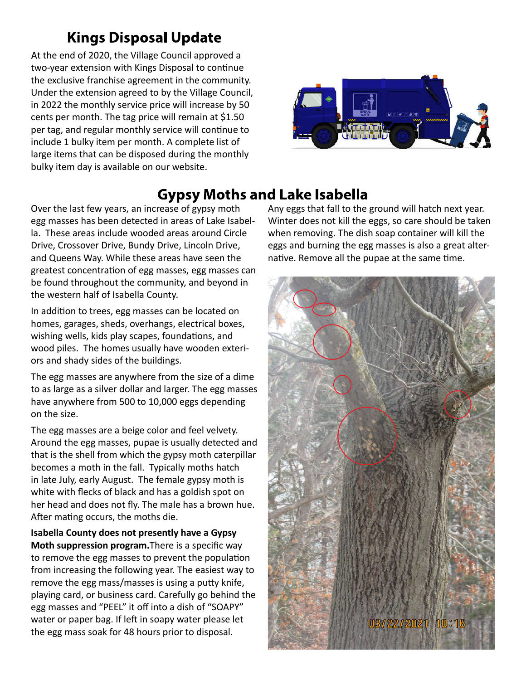## **Kings Disposal Update**

At the end of 2020, the Village Council approved a two-year extension with Kings Disposal to continue the exclusive franchise agreement in the community. Under the extension agreed to by the Village Council, in 2022 the monthly service price will increase by 50 cents per month. The tag price will remain at \$1.50 per tag, and regular monthly service will continue to include 1 bulky item per month. A complete list of large items that can be disposed during the monthly bulky item day is available on our website.



### **Gypsy Moths and Lake Isabella**

Over the last few years, an increase of gypsy moth egg masses has been detected in areas of Lake Isabella. These areas include wooded areas around Circle Drive, Crossover Drive, Bundy Drive, Lincoln Drive, and Queens Way. While these areas have seen the greatest concentration of egg masses, egg masses can be found throughout the community, and beyond in the western half of Isabella County.

In addition to trees, egg masses can be located on homes, garages, sheds, overhangs, electrical boxes, wishing wells, kids play scapes, foundations, and wood piles. The homes usually have wooden exteriors and shady sides of the buildings.

The egg masses are anywhere from the size of a dime to as large as a silver dollar and larger. The egg masses have anywhere from 500 to 10,000 eggs depending on the size.

The egg masses are a beige color and feel velvety. Around the egg masses, pupae is usually detected and that is the shell from which the gypsy moth caterpillar becomes a moth in the fall. Typically moths hatch in late July, early August. The female gypsy moth is white with flecks of black and has a goldish spot on her head and does not fly. The male has a brown hue. After mating occurs, the moths die.

**Isabella County does not presently have a Gypsy Moth suppression program.** There is a specific way to remove the egg masses to prevent the population from increasing the following year. The easiest way to remove the egg mass/masses is using a putty knife, playing card, or business card. Carefully go behind the egg masses and "PEEL" it off into a dish of "SOAPY" water or paper bag. If left in soapy water please let the egg mass soak for 48 hours prior to disposal.

Any eggs that fall to the ground will hatch next year. Winter does not kill the eggs, so care should be taken when removing. The dish soap container will kill the eggs and burning the egg masses is also a great alternative. Remove all the pupae at the same time.